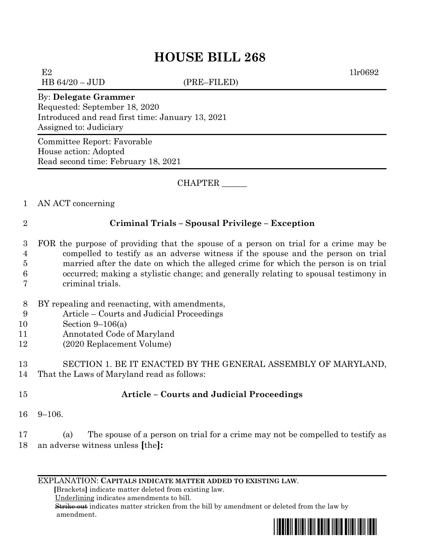## **HOUSE BILL 268**

 $E2$  1lr0692

HB 64/20 – JUD (PRE–FILED)

## By: **Delegate Grammer**

Requested: September 18, 2020 Introduced and read first time: January 13, 2021 Assigned to: Judiciary

Committee Report: Favorable House action: Adopted Read second time: February 18, 2021

CHAPTER \_\_\_\_\_\_

- 1 AN ACT concerning
- 

## 2 **Criminal Trials – Spousal Privilege – Exception**

- 3 FOR the purpose of providing that the spouse of a person on trial for a crime may be 4 compelled to testify as an adverse witness if the spouse and the person on trial 5 married after the date on which the alleged crime for which the person is on trial 6 occurred; making a stylistic change; and generally relating to spousal testimony in 7 criminal trials.
- 8 BY repealing and reenacting, with amendments,
- 9 Article Courts and Judicial Proceedings
- 10 Section 9–106(a)
- 11 Annotated Code of Maryland
- 12 (2020 Replacement Volume)

13 SECTION 1. BE IT ENACTED BY THE GENERAL ASSEMBLY OF MARYLAND, 14 That the Laws of Maryland read as follows:

## 15 **Article – Courts and Judicial Proceedings**

16 9–106.

17 (a) The spouse of a person on trial for a crime may not be compelled to testify as 18 an adverse witness unless **[**the**]:**

EXPLANATION: **CAPITALS INDICATE MATTER ADDED TO EXISTING LAW**.

 **[**Brackets**]** indicate matter deleted from existing law.

Underlining indicates amendments to bill.

 Strike out indicates matter stricken from the bill by amendment or deleted from the law by amendment.